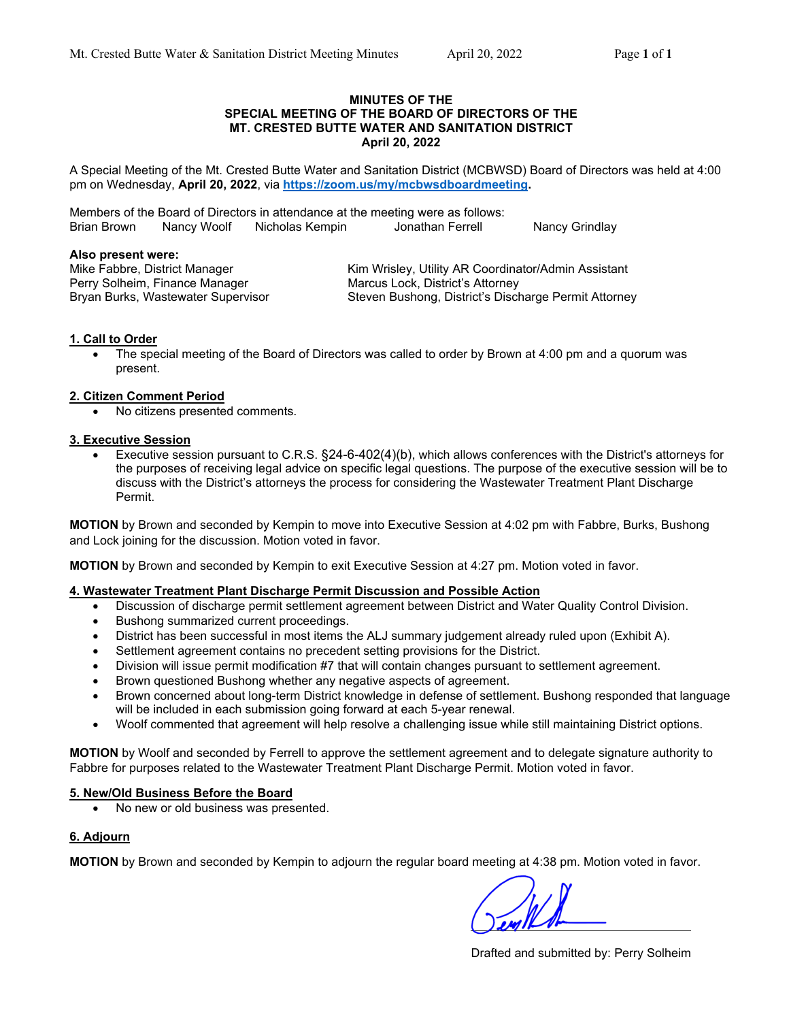#### **MINUTES OF THE SPECIAL MEETING OF THE BOARD OF DIRECTORS OF THE MT. CRESTED BUTTE WATER AND SANITATION DISTRICT April 20, 2022**

A Special Meeting of the Mt. Crested Butte Water and Sanitation District (MCBWSD) Board of Directors was held at 4:00 pm on Wednesday, **April 20, 2022**, via **https://zoom.us/my/mcbwsdboardmeeting.**

Members of the Board of Directors in attendance at the meeting were as follows: Brian Brown Nancy Woolf Nicholas Kempin Jonathan Ferrell Nancy Grindlay

#### **Also present were:**

Perry Solheim, Finance Manager Marcus Lock, District's Attorney

Mike Fabbre, District Manager Kim Wrisley, Utility AR Coordinator/Admin Assistant Bryan Burks, Wastewater Supervisor Steven Bushong, District's Discharge Permit Attorney

## **1. Call to Order**

 The special meeting of the Board of Directors was called to order by Brown at 4:00 pm and a quorum was present.

#### **2. Citizen Comment Period**

No citizens presented comments.

## **3. Executive Session**

 Executive session pursuant to C.R.S. §24-6-402(4)(b), which allows conferences with the District's attorneys for the purposes of receiving legal advice on specific legal questions. The purpose of the executive session will be to discuss with the District's attorneys the process for considering the Wastewater Treatment Plant Discharge Permit.

**MOTION** by Brown and seconded by Kempin to move into Executive Session at 4:02 pm with Fabbre, Burks, Bushong and Lock joining for the discussion. Motion voted in favor.

**MOTION** by Brown and seconded by Kempin to exit Executive Session at 4:27 pm. Motion voted in favor.

## **4. Wastewater Treatment Plant Discharge Permit Discussion and Possible Action**

- Discussion of discharge permit settlement agreement between District and Water Quality Control Division.
- Bushong summarized current proceedings.
- District has been successful in most items the ALJ summary judgement already ruled upon (Exhibit A).
- Settlement agreement contains no precedent setting provisions for the District.
- Division will issue permit modification #7 that will contain changes pursuant to settlement agreement.
- Brown questioned Bushong whether any negative aspects of agreement.
- Brown concerned about long-term District knowledge in defense of settlement. Bushong responded that language will be included in each submission going forward at each 5-year renewal.
- Woolf commented that agreement will help resolve a challenging issue while still maintaining District options.

**MOTION** by Woolf and seconded by Ferrell to approve the settlement agreement and to delegate signature authority to Fabbre for purposes related to the Wastewater Treatment Plant Discharge Permit. Motion voted in favor.

## **5. New/Old Business Before the Board**

No new or old business was presented.

## **6. Adjourn**

**MOTION** by Brown and seconded by Kempin to adjourn the regular board meeting at 4:38 pm. Motion voted in favor.

Drafted and submitted by: Perry Solheim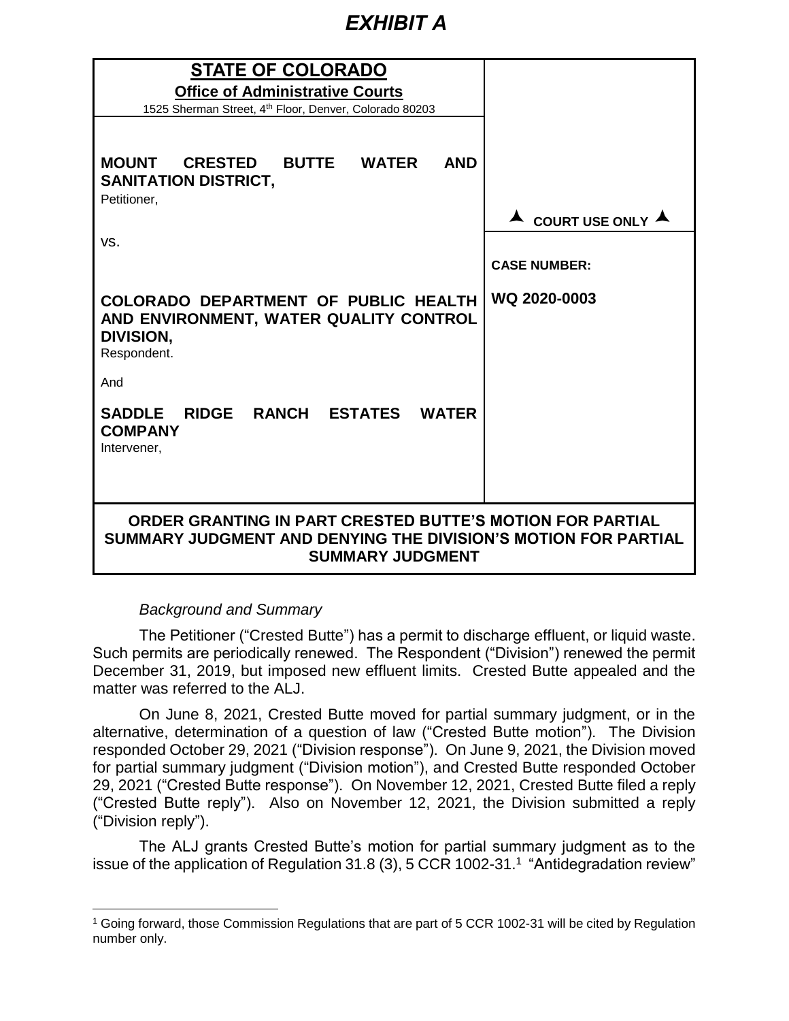# *EXHIBIT A*

| <b>STATE OF COLORADO</b><br><b>Office of Administrative Courts</b><br>1525 Sherman Street, 4th Floor, Denver, Colorado 80203                           |                                        |
|--------------------------------------------------------------------------------------------------------------------------------------------------------|----------------------------------------|
| MOUNT CRESTED BUTTE WATER<br><b>AND</b><br><b>SANITATION DISTRICT,</b><br>Petitioner,                                                                  | $\triangle$ COURT USE ONLY $\triangle$ |
| VS.                                                                                                                                                    | <b>CASE NUMBER:</b>                    |
| COLORADO DEPARTMENT OF PUBLIC HEALTH<br>AND ENVIRONMENT, WATER QUALITY CONTROL<br>DIVISION,<br>Respondent.                                             | WQ 2020-0003                           |
| And                                                                                                                                                    |                                        |
| SADDLE RIDGE RANCH ESTATES WATER<br><b>COMPANY</b><br>Intervener,                                                                                      |                                        |
| ORDER GRANTING IN PART CRESTED BUTTE'S MOTION FOR PARTIAL<br>SUMMARY JUDGMENT AND DENYING THE DIVISION'S MOTION FOR PARTIAL<br><b>SUMMARY JUDGMENT</b> |                                        |

# *Background and Summary*

The Petitioner ("Crested Butte") has a permit to discharge effluent, or liquid waste. Such permits are periodically renewed. The Respondent ("Division") renewed the permit December 31, 2019, but imposed new effluent limits. Crested Butte appealed and the matter was referred to the ALJ.

On June 8, 2021, Crested Butte moved for partial summary judgment, or in the alternative, determination of a question of law ("Crested Butte motion"). The Division responded October 29, 2021 ("Division response"). On June 9, 2021, the Division moved for partial summary judgment ("Division motion"), and Crested Butte responded October 29, 2021 ("Crested Butte response"). On November 12, 2021, Crested Butte filed a reply ("Crested Butte reply"). Also on November 12, 2021, the Division submitted a reply ("Division reply").

The ALJ grants Crested Butte's motion for partial summary judgment as to the issue of the application of Regulation 31.8 (3), 5 CCR 1002-31.<sup>1</sup> "Antidegradation review"

<sup>1</sup> Going forward, those Commission Regulations that are part of 5 CCR 1002-31 will be cited by Regulation number only.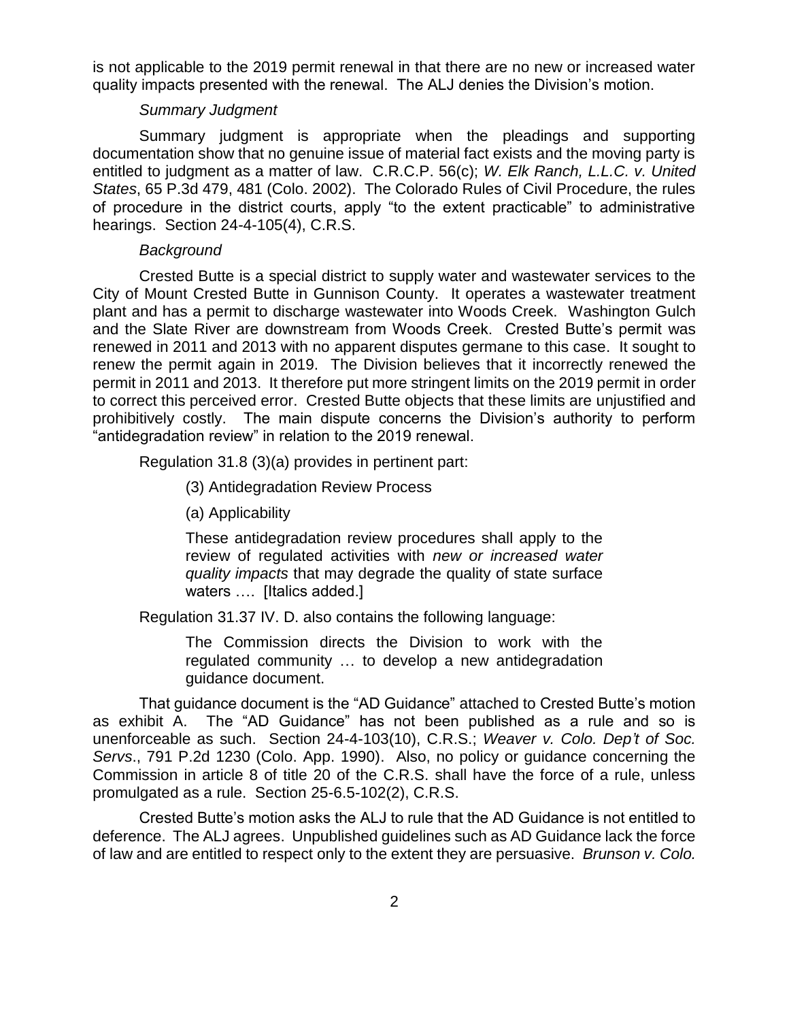is not applicable to the 2019 permit renewal in that there are no new or increased water quality impacts presented with the renewal. The ALJ denies the Division's motion.

## *Summary Judgment*

Summary judgment is appropriate when the pleadings and supporting documentation show that no genuine issue of material fact exists and the moving party is entitled to judgment as a matter of law. C.R.C.P. 56(c); *W. Elk Ranch, L.L.C. v. United States*, 65 P.3d 479, 481 (Colo. 2002). The Colorado Rules of Civil Procedure, the rules of procedure in the district courts, apply "to the extent practicable" to administrative hearings. Section 24-4-105(4), C.R.S.

## *Background*

Crested Butte is a special district to supply water and wastewater services to the City of Mount Crested Butte in Gunnison County. It operates a wastewater treatment plant and has a permit to discharge wastewater into Woods Creek. Washington Gulch and the Slate River are downstream from Woods Creek. Crested Butte's permit was renewed in 2011 and 2013 with no apparent disputes germane to this case. It sought to renew the permit again in 2019. The Division believes that it incorrectly renewed the permit in 2011 and 2013. It therefore put more stringent limits on the 2019 permit in order to correct this perceived error. Crested Butte objects that these limits are unjustified and prohibitively costly. The main dispute concerns the Division's authority to perform "antidegradation review" in relation to the 2019 renewal.

Regulation 31.8 (3)(a) provides in pertinent part:

(3) Antidegradation Review Process

(a) Applicability

These antidegradation review procedures shall apply to the review of regulated activities with *new or increased water quality impacts* that may degrade the quality of state surface waters .... [Italics added.]

Regulation 31.37 IV. D. also contains the following language:

The Commission directs the Division to work with the regulated community … to develop a new antidegradation guidance document.

That guidance document is the "AD Guidance" attached to Crested Butte's motion as exhibit A. The "AD Guidance" has not been published as a rule and so is unenforceable as such. Section 24-4-103(10), C.R.S.; *Weaver v. Colo. Dep't of Soc. Servs*., 791 P.2d 1230 (Colo. App. 1990). Also, no policy or guidance concerning the Commission in article 8 of title 20 of the C.R.S. shall have the force of a rule, unless promulgated as a rule. Section 25-6.5-102(2), C.R.S.

Crested Butte's motion asks the ALJ to rule that the AD Guidance is not entitled to deference. The ALJ agrees. Unpublished guidelines such as AD Guidance lack the force of law and are entitled to respect only to the extent they are persuasive. *Brunson v. Colo.*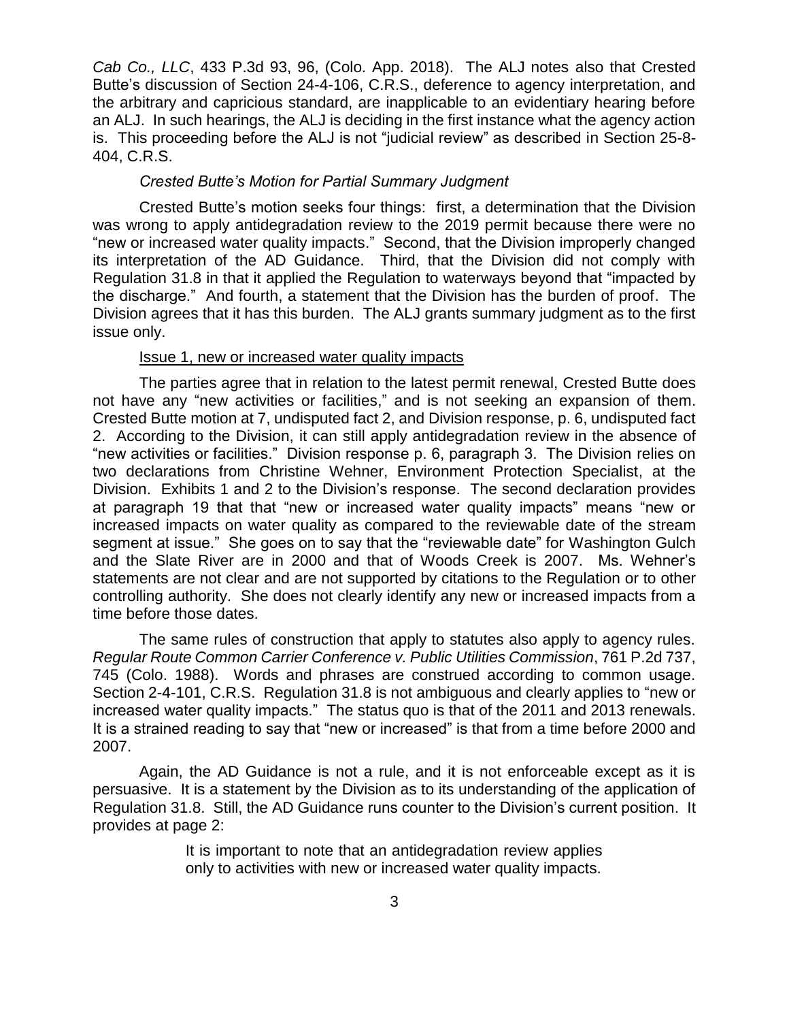*Cab Co., LLC*, 433 P.3d 93, 96, (Colo. App. 2018). The ALJ notes also that Crested Butte's discussion of Section 24-4-106, C.R.S., deference to agency interpretation, and the arbitrary and capricious standard, are inapplicable to an evidentiary hearing before an ALJ. In such hearings, the ALJ is deciding in the first instance what the agency action is. This proceeding before the ALJ is not "judicial review" as described in Section 25-8- 404, C.R.S.

## *Crested Butte's Motion for Partial Summary Judgment*

Crested Butte's motion seeks four things: first, a determination that the Division was wrong to apply antidegradation review to the 2019 permit because there were no "new or increased water quality impacts." Second, that the Division improperly changed its interpretation of the AD Guidance. Third, that the Division did not comply with Regulation 31.8 in that it applied the Regulation to waterways beyond that "impacted by the discharge." And fourth, a statement that the Division has the burden of proof. The Division agrees that it has this burden. The ALJ grants summary judgment as to the first issue only.

## Issue 1, new or increased water quality impacts

The parties agree that in relation to the latest permit renewal, Crested Butte does not have any "new activities or facilities," and is not seeking an expansion of them. Crested Butte motion at 7, undisputed fact 2, and Division response, p. 6, undisputed fact 2. According to the Division, it can still apply antidegradation review in the absence of "new activities or facilities." Division response p. 6, paragraph 3. The Division relies on two declarations from Christine Wehner, Environment Protection Specialist, at the Division. Exhibits 1 and 2 to the Division's response. The second declaration provides at paragraph 19 that that "new or increased water quality impacts" means "new or increased impacts on water quality as compared to the reviewable date of the stream segment at issue." She goes on to say that the "reviewable date" for Washington Gulch and the Slate River are in 2000 and that of Woods Creek is 2007. Ms. Wehner's statements are not clear and are not supported by citations to the Regulation or to other controlling authority. She does not clearly identify any new or increased impacts from a time before those dates.

The same rules of construction that apply to statutes also apply to agency rules. *Regular Route Common Carrier Conference v. Public Utilities Commission*, 761 P.2d 737, 745 (Colo. 1988). Words and phrases are construed according to common usage. Section 2-4-101, C.R.S. Regulation 31.8 is not ambiguous and clearly applies to "new or increased water quality impacts." The status quo is that of the 2011 and 2013 renewals. It is a strained reading to say that "new or increased" is that from a time before 2000 and 2007.

Again, the AD Guidance is not a rule, and it is not enforceable except as it is persuasive. It is a statement by the Division as to its understanding of the application of Regulation 31.8. Still, the AD Guidance runs counter to the Division's current position. It provides at page 2:

> It is important to note that an antidegradation review applies only to activities with new or increased water quality impacts.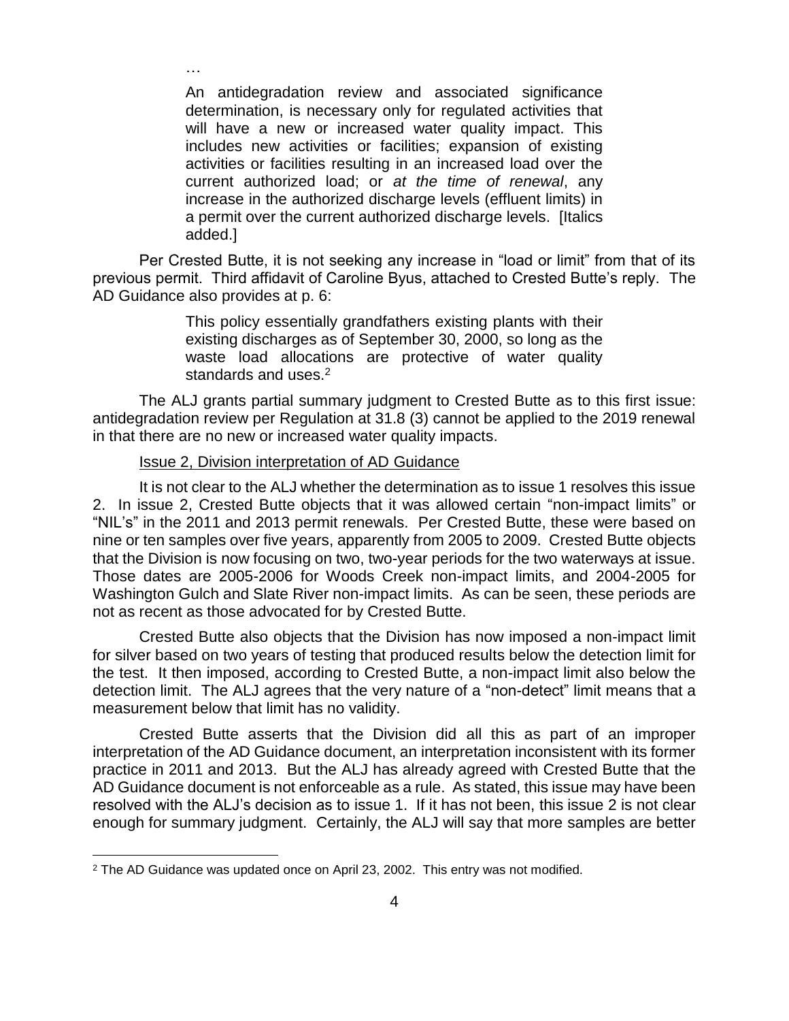An antidegradation review and associated significance determination, is necessary only for regulated activities that will have a new or increased water quality impact. This includes new activities or facilities; expansion of existing activities or facilities resulting in an increased load over the current authorized load; or *at the time of renewal*, any increase in the authorized discharge levels (effluent limits) in a permit over the current authorized discharge levels. [Italics added.]

Per Crested Butte, it is not seeking any increase in "load or limit" from that of its previous permit. Third affidavit of Caroline Byus, attached to Crested Butte's reply. The AD Guidance also provides at p. 6:

> This policy essentially grandfathers existing plants with their existing discharges as of September 30, 2000, so long as the waste load allocations are protective of water quality standards and uses.<sup>2</sup>

The ALJ grants partial summary judgment to Crested Butte as to this first issue: antidegradation review per Regulation at 31.8 (3) cannot be applied to the 2019 renewal in that there are no new or increased water quality impacts.

# Issue 2, Division interpretation of AD Guidance

…

It is not clear to the ALJ whether the determination as to issue 1 resolves this issue 2. In issue 2, Crested Butte objects that it was allowed certain "non-impact limits" or "NIL's" in the 2011 and 2013 permit renewals. Per Crested Butte, these were based on nine or ten samples over five years, apparently from 2005 to 2009. Crested Butte objects that the Division is now focusing on two, two-year periods for the two waterways at issue. Those dates are 2005-2006 for Woods Creek non-impact limits, and 2004-2005 for Washington Gulch and Slate River non-impact limits. As can be seen, these periods are not as recent as those advocated for by Crested Butte.

Crested Butte also objects that the Division has now imposed a non-impact limit for silver based on two years of testing that produced results below the detection limit for the test. It then imposed, according to Crested Butte, a non-impact limit also below the detection limit. The ALJ agrees that the very nature of a "non-detect" limit means that a measurement below that limit has no validity.

Crested Butte asserts that the Division did all this as part of an improper interpretation of the AD Guidance document, an interpretation inconsistent with its former practice in 2011 and 2013. But the ALJ has already agreed with Crested Butte that the AD Guidance document is not enforceable as a rule. As stated, this issue may have been resolved with the ALJ's decision as to issue 1. If it has not been, this issue 2 is not clear enough for summary judgment. Certainly, the ALJ will say that more samples are better

 $\overline{a}$ 

<sup>&</sup>lt;sup>2</sup> The AD Guidance was updated once on April 23, 2002. This entry was not modified.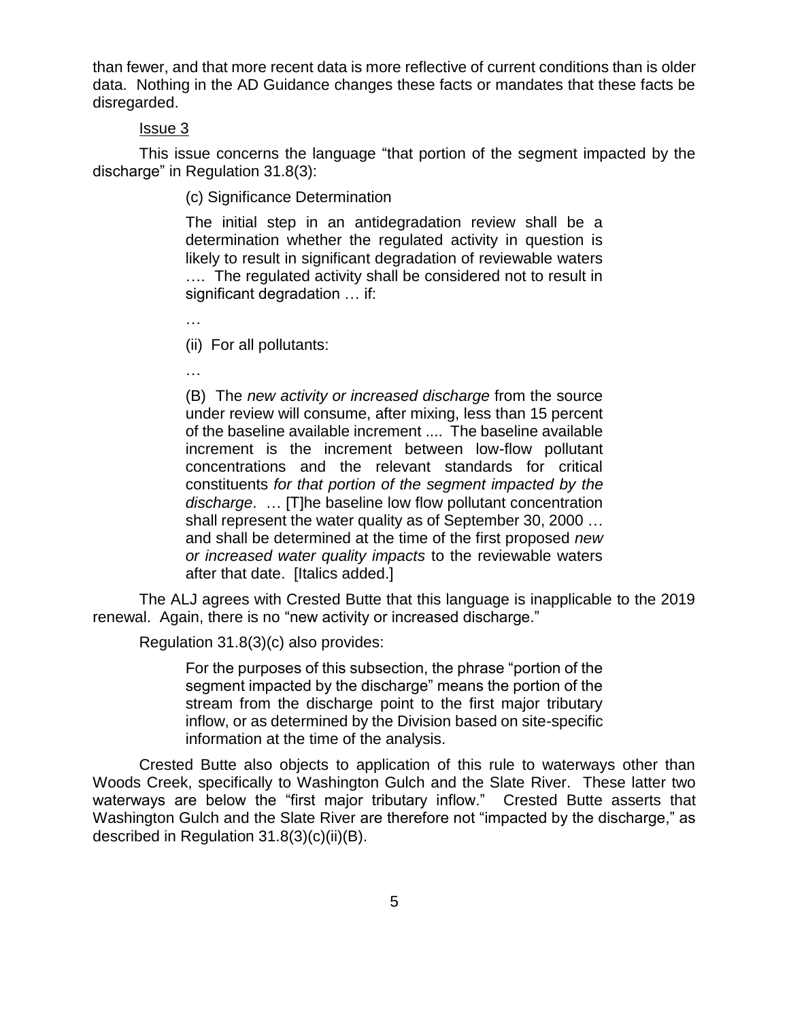than fewer, and that more recent data is more reflective of current conditions than is older data. Nothing in the AD Guidance changes these facts or mandates that these facts be disregarded.

# Issue 3

This issue concerns the language "that portion of the segment impacted by the discharge" in Regulation 31.8(3):

(c) Significance Determination

The initial step in an antidegradation review shall be a determination whether the regulated activity in question is likely to result in significant degradation of reviewable waters .... The regulated activity shall be considered not to result in significant degradation … if:

…

(ii) For all pollutants:

…

(B) The *new activity or increased discharge* from the source under review will consume, after mixing, less than 15 percent of the baseline available increment .... The baseline available increment is the increment between low-flow pollutant concentrations and the relevant standards for critical constituents *for that portion of the segment impacted by the discharge*. … [T]he baseline low flow pollutant concentration shall represent the water quality as of September 30, 2000 … and shall be determined at the time of the first proposed *new or increased water quality impacts* to the reviewable waters after that date. [Italics added.]

The ALJ agrees with Crested Butte that this language is inapplicable to the 2019 renewal. Again, there is no "new activity or increased discharge."

Regulation 31.8(3)(c) also provides:

For the purposes of this subsection, the phrase "portion of the segment impacted by the discharge" means the portion of the stream from the discharge point to the first major tributary inflow, or as determined by the Division based on site-specific information at the time of the analysis.

Crested Butte also objects to application of this rule to waterways other than Woods Creek, specifically to Washington Gulch and the Slate River. These latter two waterways are below the "first major tributary inflow." Crested Butte asserts that Washington Gulch and the Slate River are therefore not "impacted by the discharge," as described in Regulation 31.8(3)(c)(ii)(B).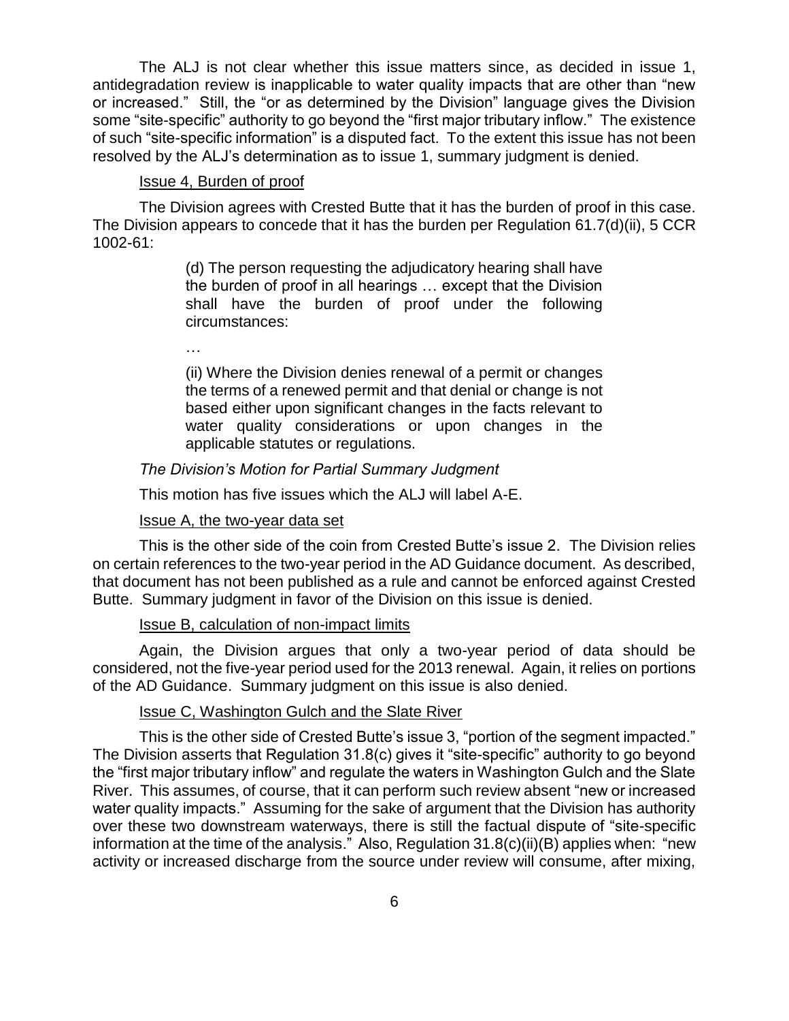The ALJ is not clear whether this issue matters since, as decided in issue 1, antidegradation review is inapplicable to water quality impacts that are other than "new or increased." Still, the "or as determined by the Division" language gives the Division some "site-specific" authority to go beyond the "first major tributary inflow." The existence of such "site-specific information" is a disputed fact. To the extent this issue has not been resolved by the ALJ's determination as to issue 1, summary judgment is denied.

## Issue 4, Burden of proof

The Division agrees with Crested Butte that it has the burden of proof in this case. The Division appears to concede that it has the burden per Regulation 61.7(d)(ii), 5 CCR 1002-61:

> (d) The person requesting the adjudicatory hearing shall have the burden of proof in all hearings … except that the Division shall have the burden of proof under the following circumstances:

…

(ii) Where the Division denies renewal of a permit or changes the terms of a renewed permit and that denial or change is not based either upon significant changes in the facts relevant to water quality considerations or upon changes in the applicable statutes or regulations.

# *The Division's Motion for Partial Summary Judgment*

This motion has five issues which the ALJ will label A-E.

## Issue A, the two-year data set

This is the other side of the coin from Crested Butte's issue 2. The Division relies on certain references to the two-year period in the AD Guidance document. As described, that document has not been published as a rule and cannot be enforced against Crested Butte. Summary judgment in favor of the Division on this issue is denied.

# Issue B, calculation of non-impact limits

Again, the Division argues that only a two-year period of data should be considered, not the five-year period used for the 2013 renewal. Again, it relies on portions of the AD Guidance. Summary judgment on this issue is also denied.

# Issue C, Washington Gulch and the Slate River

This is the other side of Crested Butte's issue 3, "portion of the segment impacted." The Division asserts that Regulation 31.8(c) gives it "site-specific" authority to go beyond the "first major tributary inflow" and regulate the waters in Washington Gulch and the Slate River. This assumes, of course, that it can perform such review absent "new or increased water quality impacts." Assuming for the sake of argument that the Division has authority over these two downstream waterways, there is still the factual dispute of "site-specific information at the time of the analysis." Also, Regulation 31.8(c)(ii)(B) applies when: "new activity or increased discharge from the source under review will consume, after mixing,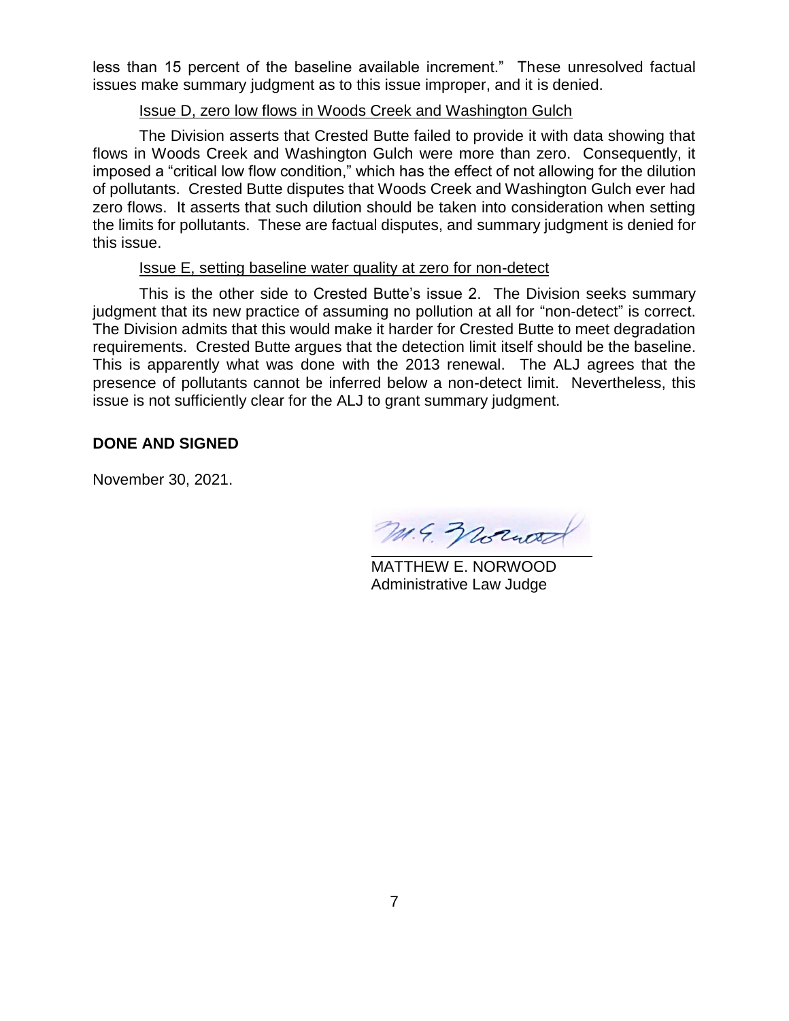less than 15 percent of the baseline available increment." These unresolved factual issues make summary judgment as to this issue improper, and it is denied.

# Issue D, zero low flows in Woods Creek and Washington Gulch

The Division asserts that Crested Butte failed to provide it with data showing that flows in Woods Creek and Washington Gulch were more than zero. Consequently, it imposed a "critical low flow condition," which has the effect of not allowing for the dilution of pollutants. Crested Butte disputes that Woods Creek and Washington Gulch ever had zero flows. It asserts that such dilution should be taken into consideration when setting the limits for pollutants. These are factual disputes, and summary judgment is denied for this issue.

# Issue E, setting baseline water quality at zero for non-detect

This is the other side to Crested Butte's issue 2. The Division seeks summary judgment that its new practice of assuming no pollution at all for "non-detect" is correct. The Division admits that this would make it harder for Crested Butte to meet degradation requirements. Crested Butte argues that the detection limit itself should be the baseline. This is apparently what was done with the 2013 renewal. The ALJ agrees that the presence of pollutants cannot be inferred below a non-detect limit. Nevertheless, this issue is not sufficiently clear for the ALJ to grant summary judgment.

# **DONE AND SIGNED**

November 30, 2021.

M. 4. Wound

MATTHEW E. NORWOOD Administrative Law Judge